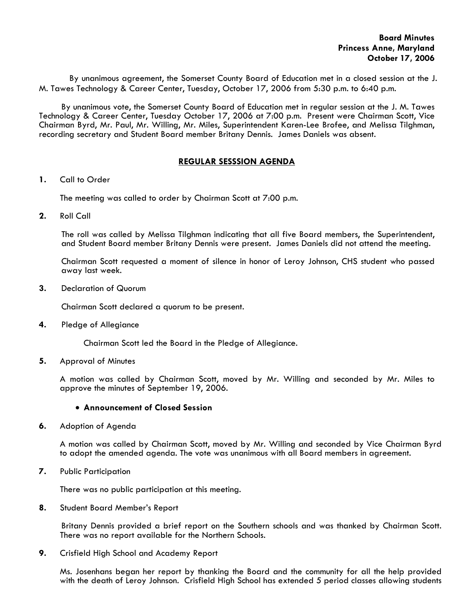By unanimous agreement, the Somerset County Board of Education met in a closed session at the J. M. Tawes Technology & Career Center, Tuesday, October 17, 2006 from 5:30 p.m. to 6:40 p.m.

 By unanimous vote, the Somerset County Board of Education met in regular session at the J. M. Tawes Technology & Career Center, Tuesday October 17, 2006 at 7:00 p.m. Present were Chairman Scott, Vice Chairman Byrd, Mr. Paul, Mr. Willing, Mr. Miles, Superintendent Karen-Lee Brofee, and Melissa Tilghman, recording secretary and Student Board member Britany Dennis. James Daniels was absent.

# **REGULAR SESSSION AGENDA**

**1.** Call to Order

The meeting was called to order by Chairman Scott at 7:00 p.m.

**2.** Roll Call

The roll was called by Melissa Tilghman indicating that all five Board members, the Superintendent, and Student Board member Britany Dennis were present. James Daniels did not attend the meeting.

Chairman Scott requested a moment of silence in honor of Leroy Johnson, CHS student who passed away last week.

**3.** Declaration of Quorum

Chairman Scott declared a quorum to be present.

**4.** Pledge of Allegiance

Chairman Scott led the Board in the Pledge of Allegiance.

**5.** Approval of Minutes

 A motion was called by Chairman Scott, moved by Mr. Willing and seconded by Mr. Miles to approve the minutes of September 19, 2006.

### • **Announcement of Closed Session**

**6.** Adoption of Agenda

 A motion was called by Chairman Scott, moved by Mr. Willing and seconded by Vice Chairman Byrd to adopt the amended agenda. The vote was unanimous with all Board members in agreement.

**7.** Public Participation

There was no public participation at this meeting.

**8.** Student Board Member's Report

 Britany Dennis provided a brief report on the Southern schools and was thanked by Chairman Scott. There was no report available for the Northern Schools.

**9.** Crisfield High School and Academy Report

 Ms. Josenhans began her report by thanking the Board and the community for all the help provided with the death of Leroy Johnson. Crisfield High School has extended 5 period classes allowing students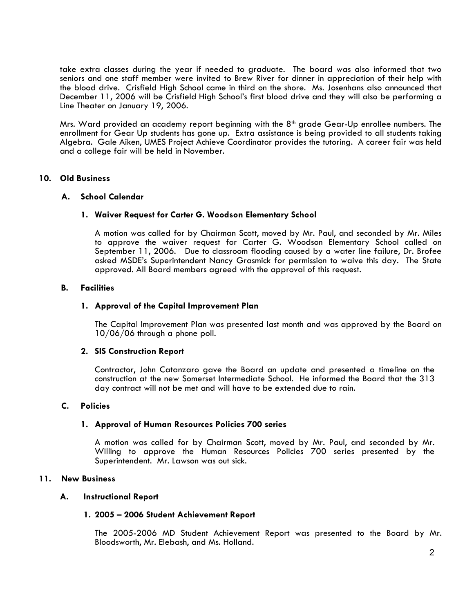take extra classes during the year if needed to graduate. The board was also informed that two seniors and one staff member were invited to Brew River for dinner in appreciation of their help with the blood drive. Crisfield High School came in third on the shore. Ms. Josenhans also announced that December 11, 2006 will be Crisfield High School's first blood drive and they will also be performing a Line Theater on January 19, 2006.

Mrs. Ward provided an academy report beginning with the 8<sup>th</sup> grade Gear-Up enrollee numbers. The enrollment for Gear Up students has gone up. Extra assistance is being provided to all students taking Algebra. Gale Aiken, UMES Project Achieve Coordinator provides the tutoring. A career fair was held and a college fair will be held in November.

## **10. Old Business**

### **A. School Calendar**

### **1. Waiver Request for Carter G. Woodson Elementary School**

A motion was called for by Chairman Scott, moved by Mr. Paul, and seconded by Mr. Miles to approve the waiver request for Carter G. Woodson Elementary School called on September 11, 2006. Due to classroom flooding caused by a water line failure, Dr. Brofee asked MSDE's Superintendent Nancy Grasmick for permission to waive this day. The State approved. All Board members agreed with the approval of this request.

#### **B. Facilities**

### **1. Approval of the Capital Improvement Plan**

The Capital Improvement Plan was presented last month and was approved by the Board on 10/06/06 through a phone poll.

#### **2. SIS Construction Report**

Contractor, John Catanzaro gave the Board an update and presented a timeline on the construction at the new Somerset Intermediate School. He informed the Board that the 313 day contract will not be met and will have to be extended due to rain.

### **C. Policies**

#### **1. Approval of Human Resources Policies 700 series**

A motion was called for by Chairman Scott, moved by Mr. Paul, and seconded by Mr. Willing to approve the Human Resources Policies 700 series presented by the Superintendent. Mr. Lawson was out sick.

#### **11. New Business**

#### **A. Instructional Report**

#### **1. 2005 – 2006 Student Achievement Report**

The 2005-2006 MD Student Achievement Report was presented to the Board by Mr. Bloodsworth, Mr. Elebash, and Ms. Holland.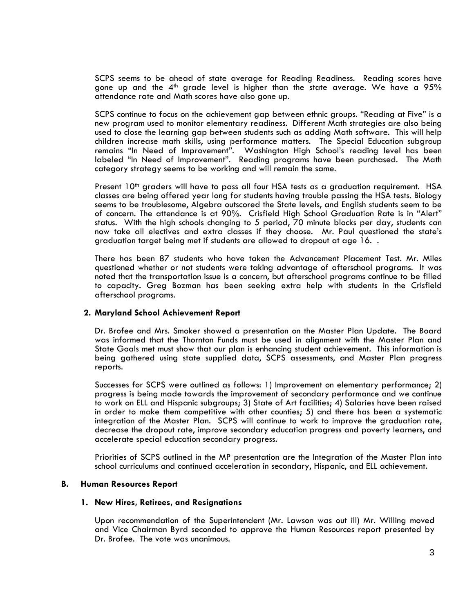SCPS seems to be ahead of state average for Reading Readiness. Reading scores have gone up and the 4<sup>th</sup> grade level is higher than the state average. We have a  $95\%$ attendance rate and Math scores have also gone up.

SCPS continue to focus on the achievement gap between ethnic groups. "Reading at Five" is a new program used to monitor elementary readiness. Different Math strategies are also being used to close the learning gap between students such as adding Math software. This will help children increase math skills, using performance matters. The Special Education subgroup remains "In Need of Improvement". Washington High School's reading level has been labeled "In Need of Improvement". Reading programs have been purchased. The Math category strategy seems to be working and will remain the same.

Present 10<sup>th</sup> graders will have to pass all four HSA tests as a graduation requirement. HSA classes are being offered year long for students having trouble passing the HSA tests. Biology seems to be troublesome, Algebra outscored the State levels, and English students seem to be of concern. The attendance is at 90%. Crisfield High School Graduation Rate is in "Alert" status. With the high schools changing to 5 period, 70 minute blocks per day, students can now take all electives and extra classes if they choose. Mr. Paul questioned the state's graduation target being met if students are allowed to dropout at age 16. .

There has been 87 students who have taken the Advancement Placement Test. Mr. Miles questioned whether or not students were taking advantage of afterschool programs. It was noted that the transportation issue is a concern, but afterschool programs continue to be filled to capacity. Greg Bozman has been seeking extra help with students in the Crisfield afterschool programs.

#### **2. Maryland School Achievement Report**

Dr. Brofee and Mrs. Smoker showed a presentation on the Master Plan Update. The Board was informed that the Thornton Funds must be used in alignment with the Master Plan and State Goals met must show that our plan is enhancing student achievement. This information is being gathered using state supplied data, SCPS assessments, and Master Plan progress reports.

Successes for SCPS were outlined as follows: 1) Improvement on elementary performance; 2) progress is being made towards the improvement of secondary performance and we continue to work on ELL and Hispanic subgroups; 3) State of Art facilities; 4) Salaries have been raised in order to make them competitive with other counties; 5) and there has been a systematic integration of the Master Plan. SCPS will continue to work to improve the graduation rate, decrease the dropout rate, improve secondary education progress and poverty learners, and accelerate special education secondary progress.

Priorities of SCPS outlined in the MP presentation are the Integration of the Master Plan into school curriculums and continued acceleration in secondary, Hispanic, and ELL achievement.

#### **B. Human Resources Report**

#### **1. New Hires, Retirees, and Resignations**

Upon recommendation of the Superintendent (Mr. Lawson was out ill) Mr. Willing moved and Vice Chairman Byrd seconded to approve the Human Resources report presented by Dr. Brofee. The vote was unanimous.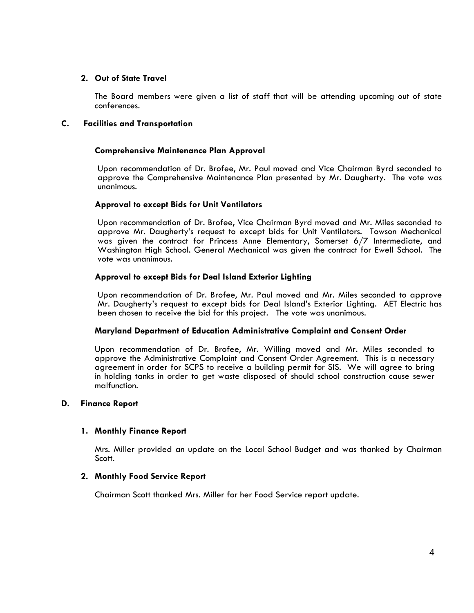# **2. Out of State Travel**

 The Board members were given a list of staff that will be attending upcoming out of state conferences.

# **C. Facilities and Transportation**

## **Comprehensive Maintenance Plan Approval**

Upon recommendation of Dr. Brofee, Mr. Paul moved and Vice Chairman Byrd seconded to approve the Comprehensive Maintenance Plan presented by Mr. Daugherty. The vote was unanimous.

## **Approval to except Bids for Unit Ventilators**

Upon recommendation of Dr. Brofee, Vice Chairman Byrd moved and Mr. Miles seconded to approve Mr. Daugherty's request to except bids for Unit Ventilators. Towson Mechanical was given the contract for Princess Anne Elementary, Somerset 6/7 Intermediate, and Washington High School. General Mechanical was given the contract for Ewell School. The vote was unanimous.

## **Approval to except Bids for Deal Island Exterior Lighting**

Upon recommendation of Dr. Brofee, Mr. Paul moved and Mr. Miles seconded to approve Mr. Daugherty's request to except bids for Deal Island's Exterior Lighting. AET Electric has been chosen to receive the bid for this project. The vote was unanimous.

#### **Maryland Department of Education Administrative Complaint and Consent Order**

Upon recommendation of Dr. Brofee, Mr. Willing moved and Mr. Miles seconded to approve the Administrative Complaint and Consent Order Agreement. This is a necessary agreement in order for SCPS to receive a building permit for SIS. We will agree to bring in holding tanks in order to get waste disposed of should school construction cause sewer malfunction.

#### **D. Finance Report**

## **1. Monthly Finance Report**

Mrs. Miller provided an update on the Local School Budget and was thanked by Chairman Scott.

## **2. Monthly Food Service Report**

Chairman Scott thanked Mrs. Miller for her Food Service report update.